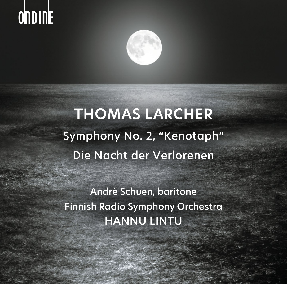# **OnDINE**



# **THOMAS LARCHER** Symphony No. 2, "Kenotaph" Die Nacht der Verlorenen

Andrè Schuen, baritone Finnish Radio Symphony Orchestra HANNU LINTU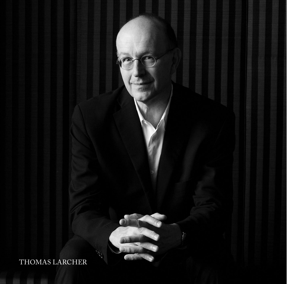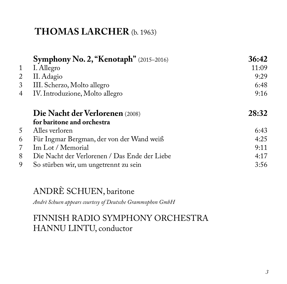## **THOMAS LARCHER** (b. 1963)

|   | Symphony No. 2, "Kenotaph" (2015-2016)        | 36:42 |
|---|-----------------------------------------------|-------|
| 1 | I. Allegro                                    | 11:09 |
| 2 | II. Adagio                                    | 9:29  |
| 3 | III. Scherzo, Molto allegro                   | 6:48  |
| 4 | IV. Introduzione, Molto allegro               | 9:16  |
|   | Die Nacht der Verlorenen (2008)               | 28:32 |
|   | for baritone and orchestra                    |       |
| 5 | Alles verloren                                | 6:43  |
| 6 | Für Ingmar Bergman, der von der Wand weiß     | 4:25  |
| 7 | Im Lot / Memorial                             | 9:11  |
| 8 | Die Nacht der Verlorenen / Das Ende der Liebe | 4:17  |
| 9 | So stürben wir, um ungetrennt zu sein         | 3:56  |

# ANDRÈ SCHUEN, baritone

*Andrè Schuen appears courtesy of Deutsche Grammophon GmbH*

### FINNISH RADIO SYMPHONY ORCHESTRA HANNU LINTU, conductor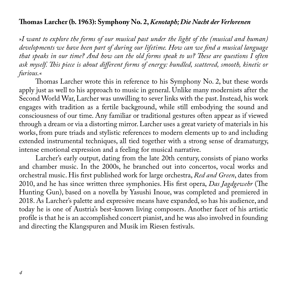#### **Thomas Larcher (b. 1963): Symphony No. 2,** *Kenotaph; Die Nacht der Verlorenen*

*»I want to explore the forms of our musical past under the light of the (musical and human) developments we have been part of during our lifetime. How can we find a musical language that speaks in our time? And how can the old forms speak to us? These are questions I often ask myself. This piece is about different forms of energy: bundled, scattered, smooth, kinetic or furious.«*

Thomas Larcher wrote this in reference to his Symphony No. 2, but these words apply just as well to his approach to music in general. Unlike many modernists after the Second World War, Larcher was unwilling to sever links with the past. Instead, his work engages with tradition as a fertile background, while still embodying the sound and consciousness of our time. Any familiar or traditional gestures often appear as if viewed through a dream or via a distorting mirror. Larcher uses a great variety of materials in his works, from pure triads and stylistic references to modern elements up to and including extended instrumental techniques, all tied together with a strong sense of dramaturgy, intense emotional expression and a feeling for musical narrative.

Larcher's early output, dating from the late 20th century, consists of piano works and chamber music. In the 2000s, he branched out into concertos, vocal works and orchestral music. His first published work for large orchestra, *Red and Green*, dates from 2010, and he has since written three symphonies. His first opera, *Das Jagdgewehr* (The Hunting Gun), based on a novella by Yasushi Inoue, was completed and premiered in 2018. As Larcher's palette and expressive means have expanded, so has his audience, and today he is one of Austria's best-known living composers. Another facet of his artistic profile is that he is an accomplished concert pianist, and he was also involved in founding and directing the Klangspuren and Musik im Riesen festivals.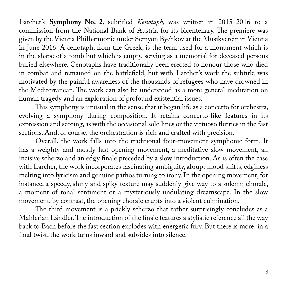Larcher's **Symphony No. 2,** subtitled *Kenotaph,* was written in 2015–2016 to a commission from the National Bank of Austria for its bicentenary. The premiere was given by the Vienna Philharmonic under Semyon Bychkov at the Musikverein in Vienna in June 2016. A cenotaph, from the Greek, is the term used for a monument which is in the shape of a tomb but which is empty, serving as a memorial for deceased persons buried elsewhere. Cenotaphs have traditionally been erected to honour those who died in combat and remained on the battlefield, but with Larcher's work the subtitle was motivated by the painful awareness of the thousands of refugees who have drowned in the Mediterranean. The work can also be understood as a more general meditation on human tragedy and an exploration of profound existential issues.

This symphony is unusual in the sense that it began life as a concerto for orchestra, evolving a symphony during composition. It retains concerto-like features in its expression and scoring, as with the occasional solo lines or the virtuoso flurries in the fast sections. And, of course, the orchestration is rich and crafted with precision.

Overall, the work falls into the traditional four-movement symphonic form. It has a weighty and mostly fast opening movement, a meditative slow movement, an incisive scherzo and an edgy finale preceded by a slow introduction. As is often the case with Larcher, the work incorporates fascinating ambiguity, abrupt mood shifts, edginess melting into lyricism and genuine pathos turning to irony. In the opening movement, for instance, a speedy, shiny and spiky texture may suddenly give way to a solemn chorale, a moment of tonal sentiment or a mysteriously undulating dreamscape. In the slow movement, by contrast, the opening chorale erupts into a violent culmination.

The third movement is a prickly scherzo that rather surprisingly concludes as a Mahlerian Ländler. The introduction of the finale features a stylistic reference all the way back to Bach before the fast section explodes with energetic fury. But there is more: in a final twist, the work turns inward and subsides into silence.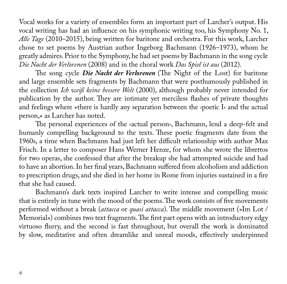Vocal works for a variety of ensembles form an important part of Larcher's output. His vocal writing has had an influence on his symphonic writing too, his Symphony No. 1, *Alle Tage* (2010–2015), being written for baritone and orchestra. For this work, Larcher chose to set poems by Austrian author Ingeborg Bachmann (1926–1973), whom he greatly admires. Prior to the Symphony, he had set poems by Bachmann in the song cycle *Die Nacht der Verlorenen* (2008) and in the choral work *Das Spiel ist aus* (2012).

The song cycle *Die Nacht der Verlorenen* (The Night of the Lost) for baritone and large ensemble sets fragments by Bachmann that were posthumously published in the collection *Ich weiß keine bessere Welt* (2000), although probably never intended for publication by the author. They are intimate yet merciless flashes of private thoughts and feelings where »there is hardly any separation between the ›poetic I‹ and the actual person,« as Larcher has noted.

The personal experiences of the ›actual person‹, Bachmann, lend a deep-felt and humanly compelling background to the texts. These poetic fragments date from the 1960s, a time when Bachmann had just left her difficult relationship with author Max Frisch. In a letter to composer Hans Werner Henze, for whom she wrote the librettos for two operas, she confessed that after the breakup she had attempted suicide and had to have an abortion. In her final years, Bachmann suffered from alcoholism and addiction to prescription drugs, and she died in her home in Rome from injuries sustained in a fire that she had caused.

Bachmann's dark texts inspired Larcher to write intense and compelling music that is entirely in tune with the mood of the poems. The work consists of five movements performed without a break (*attacca* or *quasi attacca*). The middle movement (»Im Lot / Memorial«) combines two text fragments. The first part opens with an introductory edgy virtuoso flurry, and the second is fast throughout, but overall the work is dominated by slow, meditative and often dreamlike and unreal moods, effectively underpinned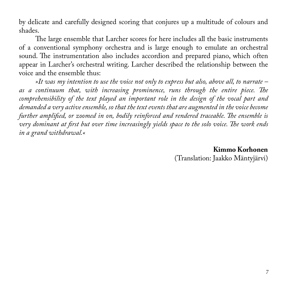by delicate and carefully designed scoring that conjures up a multitude of colours and shades.

The large ensemble that Larcher scores for here includes all the basic instruments of a conventional symphony orchestra and is large enough to emulate an orchestral sound. The instrumentation also includes accordion and prepared piano, which often appear in Larcher's orchestral writing. Larcher described the relationship between the voice and the ensemble thus:

*»It was my intention to use the voice not only to express but also, above all, to narrate – as a continuum that, with increasing prominence, runs through the entire piece. The comprehensibility of the text played an important role in the design of the vocal part and demanded a very active ensemble, so that the text events that are augmented in the voice become further amplified, or zoomed in on, bodily reinforced and rendered traceable. The ensemble is very dominant at first but over time increasingly yields space to the solo voice. The work ends in a grand withdrawal.«*

> **Kimmo Korhonen** (Translation: Jaakko Mäntyjärvi)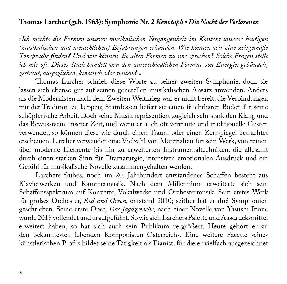#### **Thomas Larcher (geb. 1963): Symphonie Nr. 2** *Kenotaph • Die Nacht der Verlorenen*

*»Ich möchte die Formen unserer musikalischen Vergangenheit im Kontext unserer heutigen (musikalischen und menschlichen) Erfahrungen erkunden. Wie können wir eine zeitgemäße Tonsprache finden? Und wie können die alten Formen zu uns sprechen? Solche Fragen stelle ich mir oft. Dieses Stück handelt von den unterschiedlichen Formen von Energie: gebündelt, gestreut, ausgeglichen, kinetisch oder wütend.«* 

Thomas Larcher schrieb diese Worte zu seiner zweiten Symphonie, doch sie lassen sich ebenso gut auf seinen generellen musikalischen Ansatz anwenden. Anders als die Modernisten nach dem Zweiten Weltkrieg war er nicht bereit, die Verbindungen mit der Tradition zu kappen; Stattdessen liefert sie einen fruchtbaren Boden für seine schöpferische Arbeit. Doch seine Musik repräsentiert zugleich sehr stark den Klang und das Bewusstsein unserer Zeit, und wenn er auch oft vertraute und traditionelle Gesten verwendet, so können diese wie durch einen Traum oder einen Zerrspiegel betrachtet erscheinen. Larcher verwendet eine Vielzahl von Materialien für sein Werk, von reinen über moderne Elemente bis hin zu erweiterten Instrumentaltechniken, die allesamt durch einen starken Sinn für Dramaturgie, intensiven emotionalen Ausdruck und ein Gefühl für musikalische Novelle zusammengehalten werden.

Larchers frühes, noch im 20. Jahrhundert entstandenes Schaffen besteht aus Klavierwerken und Kammermusik. Nach dem Millennium erweiterte sich sein Schaffensspektrum auf Konzerte, Vokalwerke und Orchestermusik. Sein erstes Werk für großes Orchester, *Red and Green*, entstand 2010; seither hat er drei Symphonien geschrieben. Seine erste Oper, *Das Jagdgewehr*, nach einer Novelle von Yasushi Inoue wurde 2018 vollendet und uraufgeführt. So wie sich Larchers Palette und Ausdrucksmittel erweitert haben, so hat sich auch sein Publikum vergrößert. Heute gehört er zu den bekanntesten lebenden Komponisten Österreichs. Eine weitere Facette seines künstlerischen Profils bildet seine Tätigkeit als Pianist, für die er vielfach ausgezeichnet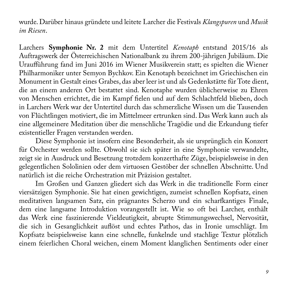wurde. Darüber hinaus gründete und leitete Larcher die Festivals *Klangspuren* und *Musik im Riesen*.

Larchers **Symphonie Nr. 2** mit dem Untertitel *Kenotaph* entstand 2015/16 als Auftragswerk der Österreichischen Nationalbank zu ihrem 200-jährigen Jubiläum. Die Uraufführung fand im Juni 2016 im Wiener Musikverein statt; es spielten die Wiener Philharmoniker unter Semyon Bychkov. Ein Kenotaph bezeichnet im Griechischen ein Monument in Gestalt eines Grabes, das aber leer ist und als Gedenkstätte für Tote dient, die an einem anderen Ort bestattet sind. Kenotaphe wurden üblicherweise zu Ehren von Menschen errichtet, die im Kampf fielen und auf dem Schlachtfeld blieben, doch in Larchers Werk war der Untertitel durch das schmerzliche Wissen um die Tausenden von Flüchtlingen motiviert, die im Mittelmeer ertrunken sind. Das Werk kann auch als eine allgemeinere Meditation über die menschliche Tragödie und die Erkundung tiefer existentieller Fragen verstanden werden.

Diese Symphonie ist insofern eine Besonderheit, als sie ursprünglich ein Konzert für Orchester werden sollte. Obwohl sie sich später in eine Symphonie verwandelte, zeigt sie in Ausdruck und Besetzung trotzdem konzerthafte Züge, beispielsweise in den gelegentlichen Sololinien oder dem virtuosen Gestöber der schnellen Abschnitte. Und natürlich ist die reiche Orchestration mit Präzision gestaltet.

Im Großen und Ganzen gliedert sich das Werk in die traditionelle Form einer viersätzigen Symphonie. Sie hat einen gewichtigen, zumeist schnellen Kopfsatz, einen meditativen langsamen Satz, ein prägnantes Scherzo und ein scharfkantiges Finale, dem eine langsame Introduktion vorangestellt ist. Wie so oft bei Larcher, enthält das Werk eine faszinierende Vieldeutigkeit, abrupte Stimmungswechsel, Nervosität, die sich in Gesanglichkeit auflöst und echtes Pathos, das in Ironie umschlägt. Im Kopfsatz beispielsweise kann eine schnelle, funkelnde und stachlige Textur plötzlich einem feierlichen Choral weichen, einem Moment klanglichen Sentiments oder einer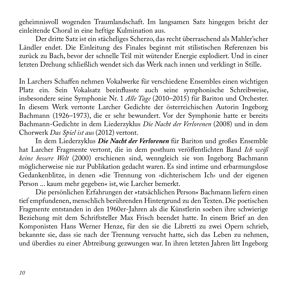geheimnisvoll wogenden Traumlandschaft. Im langsamen Satz hingegen bricht der einleitende Choral in eine heftige Kulmination aus.

Der dritte Satz ist ein stächeliges Scherzo, das recht überraschend als Mahler'scher Ländler endet. Die Einleitung des Finales beginnt mit stilistischen Referenzen bis zurück zu Bach, bevor der schnelle Teil mit wütender Energie explodiert. Und in einer letzten Drehung schließlich wendet sich das Werk nach innen und verklingt in Stille.

In Larchers Schaffen nehmen Vokalwerke für verschiedene Ensembles einen wichtigen Platz ein. Sein Vokalsatz beeinflusste auch seine symphonische Schreibweise, insbesondere seine Symphonie Nr. 1 *Alle Tage* (2010–2015) für Bariton und Orchester. In diesem Werk vertonte Larcher Gedichte der österreichischen Autorin Ingeborg Bachmann (1926–1973), die er sehr bewundert. Vor der Symphonie hatte er bereits Bachmann-Gedichte in dem Liederzyklus *Die Nacht der Verlorenen* (2008) und in dem Chorwerk *Das Spiel ist aus* (2012) vertont.

In dem Liederzyklus *Die Nacht der Verlorenen* für Bariton und großes Ensemble hat Larcher Fragmente vertont, die in dem posthum veröffentlichten Band *Ich weiß keine bessere Welt* (2000) erschienen sind, wenngleich sie von Ingeborg Bachmann möglicherweise nie zur Publikation gedacht waren. Es sind intime und erbarmungslose Gedankenblitze, in denen »die Trennung von ›dichterischem Ich‹ und der eigenen Person ... kaum mehr gegeben« ist, wie Larcher bemerkt.

Die persönlichen Erfahrungen der »tatsächlichen Person« Bachmann liefern einen tief empfundenen, menschlich berührenden Hintergrund zu den Texten. Die poetischen Fragmente entstanden in den 1960er-Jahren als die Künstlerin soeben ihre schwierige Beziehung mit dem Schriftsteller Max Frisch beendet hatte. In einem Brief an den Komponisten Hans Werner Henze, für den sie die Libretti zu zwei Opern schrieb, bekannte sie, dass sie nach der Trennung versucht hatte, sich das Leben zu nehmen, und überdies zu einer Abtreibung gezwungen war. In ihren letzten Jahren litt Ingeborg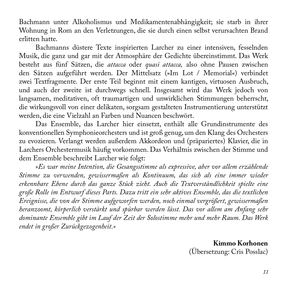Bachmann unter Alkoholismus und Medikamentenabhängigkeit; sie starb in ihrer Wohnung in Rom an den Verletzungen, die sie durch einen selbst verursachten Brand erlitten hatte.

Bachmanns düstere Texte inspirierten Larcher zu einer intensiven, fesselnden Musik, die ganz und gar mit der Atmosphäre der Gedichte übereinstimmt. Das Werk besteht aus fünf Sätzen, die *attacca* oder *quasi attacca,* also ohne Pausen zwischen den Sätzen aufgeführt werden. Der Mittelsatz (»Im Lot / Memorial«) verbindet zwei Textfragmente. Der erste Teil beginnt mit einem kantigen, virtuosen Ausbruch, und auch der zweite ist durchwegs schnell. Insgesamt wird das Werk jedoch von langsamen, meditativen, oft traumartigen und unwirklichen Stimmungen beherrscht, die wirkungsvoll von einer delikaten, sorgsam gestalteten Instrumentierung unterstützt werden, die eine Vielzahl an Farben und Nuancen beschwört.

Das Ensemble, das Larcher hier einsetzt, enthält alle Grundinstrumente des konventionellen Symphonieorchesters und ist groß genug, um den Klang des Orchesters zu evozieren. Verlangt werden außerdem Akkordeon und (präpariertes) Klavier, die in Larchers Orchestermusik häufig vorkommen. Das Verhältnis zwischen der Stimme und dem Ensemble beschreibt Larcher wie folgt:

*»Es war meine Intention, die Gesangsstimme als expressive, aber vor allem erzählende Stimme zu verwenden, gewissermaßen als Kontinuum, das sich als eine immer wieder erkennbare Ebene durch das ganze Stück zieht. Auch die Textverständlichkeit spielte eine große Rolle im Entwurf dieses Parts. Dazu tritt ein sehr aktives Ensemble, das die textlichen Ereignisse, die von der Stimme aufgeworfen werden, noch einmal vergrößert, gewissermaßen heranzoomt, körperlich verstärkt und spürbar werden lässt. Das vor allem am Anfang sehr dominante Ensemble gibt im Lauf der Zeit der Solostimme mehr und mehr Raum. Das Werk endet in großer Zurückgezogenheit.«*

> **Kimmo Korhonen** (Übersetzung: Cris Posslac)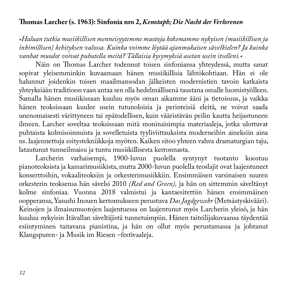#### **Thomas Larcher (s. 1963): Sinfonia nro 2,** *Kenotaph; Die Nacht der Verlorenen*

*»Haluan tutkia musiikillisen menneisyytemme muotoja kokemamme nykyisen (musiikillisen ja inhimillisen) kehityksen valossa. Kuinka voimme löytää ajanmukaisen sävelkielen? Ja kuinka vanhat muodot voivat puhutella meitä? Tällaisia kysymyksiä asetan usein itselleni.«*

Näin on Thomas Larcher todennut toisen sinfoniansa yhteydessä, mutta sanat sopivat yleisemminkin kuvaamaan hänen musiikillisia lähtökohtiaan. Hän ei ole halunnut joidenkin toisen maailmansodan jälkeisten modernistien tavoin katkaista yhteyksiään traditioon vaan antaa sen olla hedelmällisenä taustana omalle luomistyölleen. Samalla hänen musiikissaan kuuluu myös oman aikamme ääni ja tietoisuus, ja vaikka hänen teoksissaan kuulee usein tutunoloisia ja perinteisiä eleitä, ne voivat saada unenomaisesti värittyneen tai epätodellisen, kuin vääristävän peilin kautta heijastuneen ilmeen. Larcher soveltaa teoksissaan mitä moninaisimpia materiaaleja, jotka ulottuvat puhtaista kolmisoinnuista ja sovelletuista tyyliviittauksista moderneihin aineksiin aina ns. laajennettuja esitystekniikkoja myöten. Kaiken sitoo yhteen vahva dramaturgian taju, latautunut tunneilmaisu ja tuntu musiikillisesta kerronnasta.

Larcherin varhaisempi, 1900-luvun puolella syntynyt tuotanto koostuu pianoteoksista ja kamarimusiikista, mutta 2000-luvun puolella teoslajit ovat laajentuneet konserttoihin, vokaaliteoksiin ja orkesterimusiikkiin. Ensimmäisen varsinaisen suuren orkesterin teoksensa hän sävelsi 2010 *(Red and Green),* ja hän on sittemmin säveltänyt kolme sinfoniaa. Vuonna 2018 valmistui ja kantaesitettiin hänen ensimmäinen oopperansa, Yasushi Inouen kertomukseen perustuva *Das Jagdgewehr* (Metsästyskivääri). Keinojen ja ilmaisumuotojen laajentuessa on laajentunut myös Larcherin yleisö, ja hän kuuluu nykyisin Itävallan säveltäjistä tunnetuimpiin. Hänen taiteilijakuvaansa täydentää esiintyminen taitavana pianistina, ja hän on ollut myös perustamassa ja johtanut Klangspuren- ja Musik im Riesen –festivaaleja.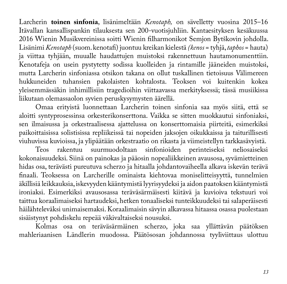Larcherin **toinen sinfonia**, lisänimeltään *Kenotaph,* on sävelletty vuosina 2015–16 Itävallan kansallispankin tilauksesta sen 200-vuotisjuhliin. Kantaesityksen kesäkuussa 2016 Wienin Musikvereinissa soitti Wienin filharmonikot Semjon Bytškovin johdolla. Lisänimi *Kenotaph* (suom. kenotafi) juontuu kreikan kielestä *(kenos* = tyhjä, *taphos* = hauta) ja viittaa tyhjään, muualle haudattujen muistoksi rakennettuun hautamonumenttiin. Kenotafeja on usein pystytetty sodissa kuolleiden ja rintamille jääneiden muistoksi, mutta Larcherin sinfoniassa otsikon takana on ollut tuskallinen tietoisuus Välimereen hukkuneiden tuhansien pakolaisten kohtalosta. Teoksen voi kuitenkin kokea yleisemmässäkin inhimillisiin tragedioihin viittaavassa merkityksessä; tässä musiikissa liikutaan olemassaolon syvien peruskysymysten äärellä.

Omaa erityistä luonnettaan Larcherin toinen sinfonia saa myös siitä, että se aloitti syntyprosessinsa orkesterikonserttona. Vaikka se sitten muokkautui sinfoniaksi, sen ilmaisussa ja orkestraalisessa ajattelussa on konserttomaisia piirteitä, esimerkiksi paikoittaisissa solistisissa repliikeissä tai nopeiden jaksojen oikukkaissa ja taiturillisesti viuhuvissa kuvioissa, ja ylipäätään orkestraatio on rikasta ja viimeistellyn tarkkasävyistä.

Teos rakentuu suurmuodoltaan sinfonioiden perinteiseksi kokonaisuudeksi. Siinä on painokas ja pääosin nopealiikkeinen avausosa, syvämietteinen hidas osa, terävästi pureutuva scherzo ja hitaalla johdantovaiheella alkava iskevän terävä finaali. Teoksessa on Larcherille ominaista kiehtovaa moniselitteisyyttä, tunnelmien äkillisiä leikkauksia, iskevyyden kääntymistä lyyrisyydeksi ja aidon paatoksen kääntymistä ironiaksi. Esimerkiksi avausosassa teräväsärmäisesti kiitävä ja kuvioiva tekstuuri voi taittua koraalimaiseksi hartaudeksi, hetken tonaaliseksi tunteikkuudeksi tai salaperäisesti häilähteleväksi unimaisemaksi. Koraalimaisin sävyin alkavassa hitaassa osassa puolestaan sisäistynyt pohdiskelu repeää väkivaltaiseksi nousuksi.

Kolmas osa on teräväsärmäinen scherzo, joka saa yllättävän päätöksen mahleriaanisen Ländlerin muodossa. Päätösosan johdannossa tyyliviittaus ulottuu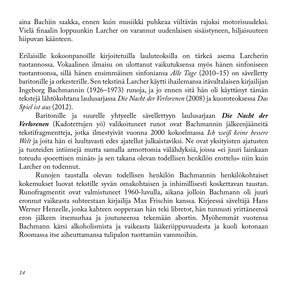aina Bachiin saakka, ennen kuin musiikki puhkeaa viiltävän rajuksi motorisuudeksi. Vielä finaalin loppuunkin Larcher on varannut uudenlaisen sisäistyneen, hiljaisuuteen hiipuvan käänteen.

Erilaisille kokoonpanoille kirjoitetuilla lauluteoksilla on tärkeä asema Larcherin tuotannossa. Vokaalinen ilmaisu on ulottanut vaikutuksensa myös hänen sinfoniseen tuotantoonsa, sillä hänen ensimmäinen sinfoniansa *Alle Tage* (2010–15) on sävelletty baritonille ja orkesterille. Sen tekstinä Larcher käytti ihailemansa itävaltalaisen kirjailijan Ingeborg Bachmannin (1926–1973) runoja, ja jo ennen sitä hän oli käyttänyt tämän tekstejä lähtökohtana laulusarjassa *Die Nacht der Verlorenen* (2008) ja kuoroteoksessa *Das Spiel ist aus* (2012).

Baritonille ja suurelle yhtyeelle sävellettyyn laulusarjaan *Die Nacht der Verlorenen* (Kadotettujen yö) valikoituneet runot ovat Bachmannin jälkeenjääneitä tekstifragmentteja, jotka ilmestyivät vuonna 2000 kokoelmassa *Ich weiß keine bessere Welt* ja joita hän ei luultavasti edes ajatellut julkaistaviksi. Ne ovat yksityisten ajatusten ja tunteiden intiimejä mutta samalla armottomia välähdyksiä, joissa »ei juuri lainkaan toteudu ›poeettisen minän‹ ja sen takana olevan todellisen henkilön erottelu« niin kuin Larcher on todennut.

Runojen taustalla olevan todellisen henkilön Bachmannin henkilökohtaiset kokemukset luovat tekstille syvän omakohtaisen ja inhimillisesti koskettavan taustan. Runofragmentit ovat valmistuneet 1960-luvulla, aikana jolloin Bachmann oli juuri eronnut vaikeasta suhteestaan kirjailija Max Frischin kanssa. Kirjeessä säveltäjä Hans Werner Henzelle, jonka kahteen oopperaan hän teki libretot, hän tunnusti yrittäneensä eron jälkeen itsemurhaa ja joutuneensa tekemään abortin. Myöhemmät vuotensa Bachmann kärsi alkoholismista ja vaikeasta lääkeriippuvuudesta ja kuoli kotonaan Roomassa itse aiheuttamansa tulipalon tuottamiin vammoihin.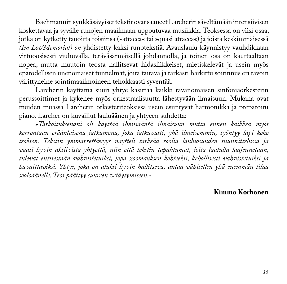Bachmannin synkkäsävyiset tekstit ovat saaneet Larcherin säveltämään intensiivisen koskettavaa ja syvälle runojen maailmaan uppoutuvaa musiikkia. Teoksessa on viisi osaa, jotka on kytketty tauoitta toisiinsa (»attacca« tai »quasi attacca«) ja joista keskimmäisessä *(Im Lot/Memorial) on* yhdistetty kaksi runotekstiä. Avauslaulu käynnistyy vauhdikkaan virtuoosisesti viuhuvalla, teräväsärmäisellä johdannolla, ja toinen osa on kauttaaltaan nopea, mutta muutoin teosta hallitsevat hidasliikkeiset, mietiskelevät ja usein myös epätodellisen unenomaiset tunnelmat, joita taitava ja tarkasti harkittu soitinnus eri tavoin värittyneine sointimaailmoineen tehokkaasti syventää.

Larcherin käyttämä suuri yhtye käsittää kaikki tavanomaisen sinfoniaorkesterin perussoittimet ja kykenee myös orkestraalisuutta lähestyvään ilmaisuun. Mukana ovat muiden muassa Larcherin orkesteriteoksissa usein esiintyvät harmonikka ja preparoitu piano. Larcher on kuvaillut lauluäänen ja yhtyeen suhdetta:

*»Tarkoituksenani oli käyttää ihmisääntä ilmaisuun mutta ennen kaikkea myös kerrontaan eräänlaisena jatkumona, joka jatkuvasti, yhä ilmeisemmin, työntyy läpi koko teoksen. Tekstin ymmärrettävyys näytteli tärkeää roolia lauluosuuden suunnittelussa ja vaati hyvin aktiivista yhtyettä, niin että tekstin tapahtumat, joita laululla laajennetaan, tulevat entisestään vahvistetuiksi, jopa zoomauksen kohteeksi, kehollisesti vahvistetuiksi ja havaittaviksi. Yhtye, joka on aluksi hyvin hallitseva, antaa vähitellen yhä enemmän tilaa sooloäänelle. Teos päättyy suureen vetäytymiseen.«*

#### **Kimmo Korhonen**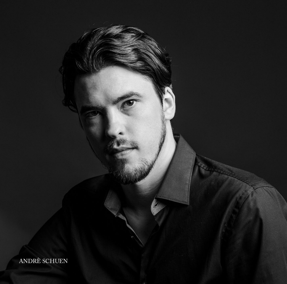ANDRÈ SCHUEN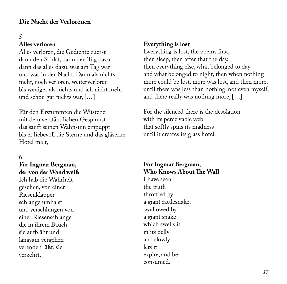#### **Die Nacht der Verlorenen**

#### 5

#### **Alles verloren**

Alles verloren, die Gedichte zuerst dann den Schlaf, dann den Tag dazu dann das alles dazu, was am Tag war und was in der Nacht. Dann als nichts mehr, noch verloren, weiterverloren bis weniger als nichts und ich nicht mehr und schon gar nichts war, […]

Für den Erstummten die Wüstenei mit dem verständlichen Gespinnst das sanft seinen Wahnsinn einpuppt bis er liebevoll die Sterne und das gläserne Hotel malt,

#### 6

#### **Für Ingmar Bergman, der von der Wand weiß**

Ich hab die Wahrheit gesehen, von einer Riesenklapper schlange umhalst und verschlungen von einer Riesenschlange die in ihrem Bauch sie aufbläht und langsam vergehen verenden läßt, sie verzehrt.

#### **Everything is lost**

Everything is lost, the poems first, then sleep, then after that the day, then everything else, what belonged to day and what belonged to night, then when nothing more could be lost, more was lost, and then more, until there was less than nothing, not even myself, and there really was nothing more, […]

For the silenced there is the desolation with its perceivable web that softly spins its madness until it creates its glass hotel.

#### **For Ingmar Bergman, Who Knows About The Wall**

I have seen the truth throttled by a giant rattlesnake, swallowed by a giant snake which swells it in its belly and slowly lets it expire, and be consumed.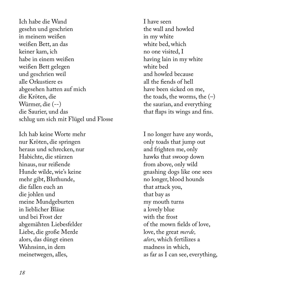Ich habe die Wand gesehn und geschrien in meinem weißen weißen Bett, an das keiner kam, ich habe in einem weißen weißen Bett gelegen und geschrien weil alle Orkustiere es abgesehen hatten auf mich die Kröten, die Würmer, die (--) die Saurier, und das schlug um sich mit Flügel und Flosse

Ich hab keine Worte mehr nur Kröten, die springen heraus und schrecken, nur Habichte, die stürzen hinaus, nur reißende Hunde wilde, wie's keine mehr gibt, Bluthunde, die fallen euch an die johlen und meine Mundgeburten in lieblicher Bläue und bei Frost der abgemähten Liebesfelder Liebe, die große Merde alors, das düngt einen Wahnsinn, in dem meinetwegen, alles,

I have seen the wall and howled in my white white bed, which no one visited, I having lain in my white white bed and howled because all the fiends of hell have been sicked on me, the toads, the worms, the  $(-)$ the saurian, and everything that flaps its wings and fins.

I no longer have any words, only toads that jump out and frighten me, only hawks that swoop down from above, only wild gnashing dogs like one sees no longer, blood hounds that attack you, that bay as my mouth turns a lovely blue with the frost of the mown fields of love, love, the great *merde, alors,* which fertilizes a madness in which, as far as I can see, everything,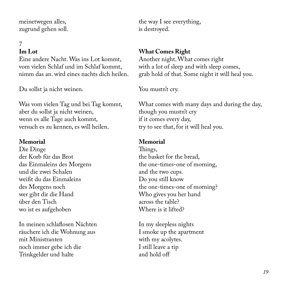meinetwegen alles, zugrund gehen soll.

# 7

#### **Im Lot**

Eine andere Nacht. Was ins Lot kommt, vom vielen Schlaf und im Schlaf kommt, nimm das an. wird eines nachts dich heilen.

Du sollst ja nicht weinen.

Was vom vielen Tag und bei Tag kommt, aber du sollst ja nicht weinen, wenn es alle Tage auch kommt, versuch es zu kennen, es will heilen.

#### **Memorial**

Die Dinge der Korb für das Brot das Einmaleins des Morgens und die zwei Schalen weißt du das Einmaleins des Morgens noch wer gibt dir die Hand über den Tisch wo ist es aufgehoben

In meinen schlaflosen Nächten räuchere ich die Wohnung aus mit Ministranten noch immer gebe ich die Trinkgelder und halte

the way I see everything, is destroyed.

#### **What Comes Right**

Another night. What comes right with a lot of sleep and with sleep comes, grab hold of that. Some night it will heal you.

#### You mustn't cry.

What comes with many days and during the day, though you mustn't cry if it comes every day, try to see that, for it will heal you.

#### **Memorial**

Things, the basket for the bread, the one-times-one of morning, and the two cups. Do you still know the one-times-one of morning? Who gives you her hand across the table? Where is it lifted?

In my sleepless nights I smoke up the apartment with my acolytes. I still leave a tip and hold off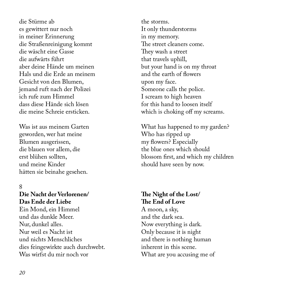die Stürme ab es gewittert nur noch in meiner Erinnerung die Straßenreinigung kommt die wäscht eine Gasse die aufwärts führt aber deine Hände um meinen Hals und die Erde an meinem Gesicht von den Blumen, jemand ruft nach der Polizei ich rufe zum Himmel dass diese Hände sich lösen die meine Schreie ersticken.

Was ist aus meinem Garten geworden, wer hat meine Blumen ausgerissen, die blauen vor allem, die erst blühen sollten, und meine Kinder hätten sie beinahe gesehen.

#### 8

#### **Die Nacht der Verlorenen/ Das Ende der Liebe**

Ein Mond, ein Himmel und das dunkle Meer. Nur, dunkel alles. Nur weil es Nacht ist und nichts Menschliches dies feingewirkte auch durchwebt. Was wirfst du mir noch vor

the storms. It only thunderstorms in my memory. The street cleaners come. They wash a street that travels uphill, but your hand is on my throat and the earth of flowers upon my face. Someone calls the police. I scream to high heaven for this hand to loosen itself which is choking off my screams.

What has happened to my garden? Who has ripped up my flowers? Especially the blue ones which should blossom first, and which my children should have seen by now.

#### **The Night of the Lost/ The End of Love**

A moon, a sky, and the dark sea. Now everything is dark. Only because it is night and there is nothing human inherent in this scene. What are you accusing me of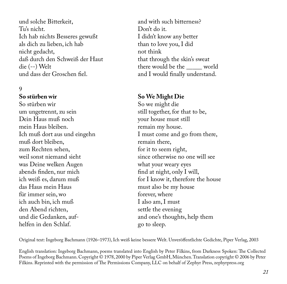und solche Bitterkeit, Tu's nicht. Ich hab nichts Besseres gewußt als dich zu lieben, ich hab nicht gedacht, daß durch den Schweiß der Haut die (--) Welt und dass der Groschen fiel.

#### 9

#### **So stürben wir**

So stürben wir um ungetrennt, zu sein Dein Haus muß noch mein Haus bleiben. Ich muß dort aus und eingehn muß dort bleiben, zum Rechten sehen, weil sonst niemand sieht was Deine welken Augen abends finden, nur mich ich weiß es, darum muß das Haus mein Haus für immer sein, wo ich auch bin, ich muß den Abend richten, und die Gedanken, aufhelfen in den Schlaf.

and with such bitterness? Don't do it. I didn't know any better than to love you, I did not think that through the skin's sweat there would be the \_\_\_\_\_ world and I would finally understand.

#### **So We Might Die**

So we might die still together, for that to be, your house must still remain my house. I must come and go from there, remain there, for it to seem right, since otherwise no one will see what your weary eyes find at night, only I will, for I know it, therefore the house must also be my house forever, where I also am, I must settle the evening and one's thoughts, help them go to sleep.

Original text: Ingeborg Bachmann (1926–1973), Ich weiß keine bessere Welt. Unveröffentlichte Gedichte, Piper Verlag, 2003

English translation: Ingeborg Bachmann, poems translated into English by Peter Filkins, from Darkness Spoken: The Collected Poems of Ingeborg Bachmann. Copyright © 1978, 2000 by Piper Verlag GmbH, München. Translation copyright © 2006 by Peter Filkins. Reprinted with the permission of The Permissions Company, LLC on behalf of Zephyr Press, zephyrpress.org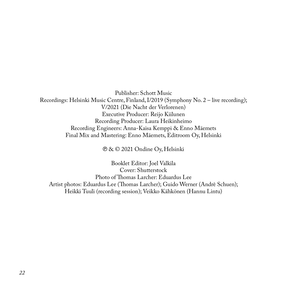Publisher: Schott Music Recordings: Helsinki Music Centre, Finland, I/2019 (Symphony No. 2 – live recording); V/2021 (Die Nacht der Verlorenen) Executive Producer: Reijo Kiilunen Recording Producer: Laura Heikinheimo Recording Engineers: Anna-Kaisa Kemppi & Enno Mäemets Final Mix and Mastering: Enno Mäemets, Editroom Oy, Helsinki

℗ & © 2021 Ondine Oy, Helsinki

Booklet Editor: Joel Valkila Cover: Shutterstock Photo of Thomas Larcher: Eduardus Lee Artist photos: Eduardus Lee (Thomas Larcher); Guido Werner (Andrè Schuen); Heikki Tuuli (recording session); Veikko Kähkönen (Hannu Lintu)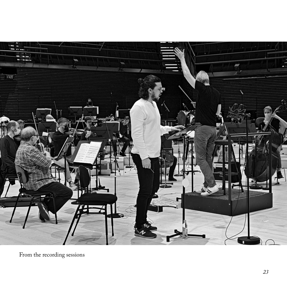

From the recording sessions